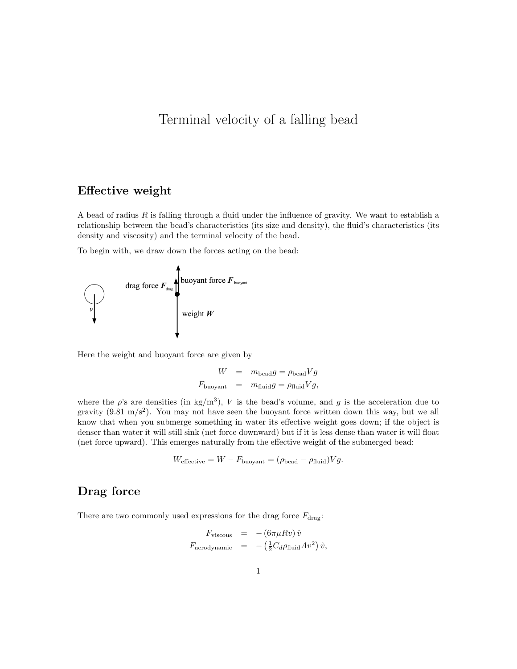# Terminal velocity of a falling bead

#### Effective weight

A bead of radius  $R$  is falling through a fluid under the influence of gravity. We want to establish a relationship between the bead's characteristics (its size and density), the fluid's characteristics (its density and viscosity) and the terminal velocity of the bead.

To begin with, we draw down the forces acting on the bead:



Here the weight and buoyant force are given by

$$
W = m_{\text{bead}}g = \rho_{\text{bead}}Vg
$$
  

$$
F_{\text{buoyant}} = m_{\text{fluid}}g = \rho_{\text{fluid}}Vg,
$$

where the  $\rho$ 's are densities (in kg/m<sup>3</sup>), V is the bead's volume, and g is the acceleration due to gravity  $(9.81 \text{ m/s}^2)$ . You may not have seen the buoyant force written down this way, but we all know that when you submerge something in water its effective weight goes down; if the object is denser than water it will still sink (net force downward) but if it is less dense than water it will float (net force upward). This emerges naturally from the effective weight of the submerged bead:

$$
W_{\text{effective}} = W - F_{\text{buoyant}} = (\rho_{\text{bead}} - \rho_{\text{fluid}}) V g.
$$

## Drag force

There are two commonly used expressions for the drag force  $F_{\rm drag}$ :

$$
F_{\text{viscous}} = - (6\pi \mu R v) \hat{v}
$$
  

$$
F_{\text{aerodynamic}} = - (\frac{1}{2} C_d \rho_{\text{fluid}} A v^2) \hat{v},
$$